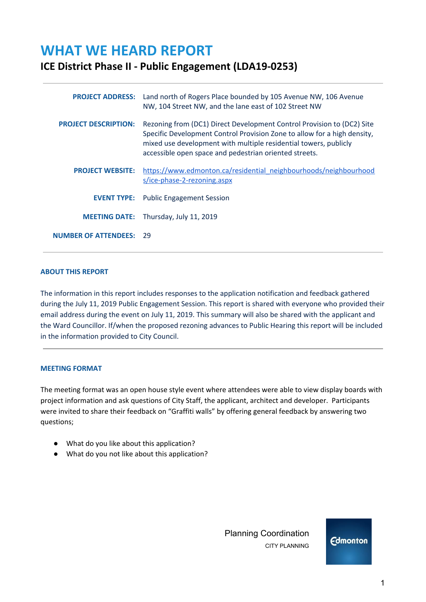# **WHAT WE HEARD REPORT**

# **ICE District Phase II - Public Engagement (LDA19-0253)**

| <b>PROJECT ADDRESS:</b>     | Land north of Rogers Place bounded by 105 Avenue NW, 106 Avenue<br>NW, 104 Street NW, and the lane east of 102 Street NW                                                                                                                                                         |
|-----------------------------|----------------------------------------------------------------------------------------------------------------------------------------------------------------------------------------------------------------------------------------------------------------------------------|
| <b>PROJECT DESCRIPTION:</b> | Rezoning from (DC1) Direct Development Control Provision to (DC2) Site<br>Specific Development Control Provision Zone to allow for a high density,<br>mixed use development with multiple residential towers, publicly<br>accessible open space and pedestrian oriented streets. |
| <b>PROJECT WEBSITE:</b>     | https://www.edmonton.ca/residential_neighbourhoods/neighbourhood<br>s/ice-phase-2-rezoning.aspx                                                                                                                                                                                  |
|                             | <b>EVENT TYPE:</b> Public Engagement Session                                                                                                                                                                                                                                     |
|                             | <b>MEETING DATE:</b> Thursday, July 11, 2019                                                                                                                                                                                                                                     |
| <b>NUMBER OF ATTENDEES:</b> | 29                                                                                                                                                                                                                                                                               |

#### **ABOUT THIS REPORT**

The information in this report includes responses to the application notification and feedback gathered during the July 11, 2019 Public Engagement Session. This report is shared with everyone who provided their email address during the event on July 11, 2019. This summary will also be shared with the applicant and the Ward Councillor. If/when the proposed rezoning advances to Public Hearing this report will be included in the information provided to City Council.

#### **MEETING FORMAT**

The meeting format was an open house style event where attendees were able to view display boards with project information and ask questions of City Staff, the applicant, architect and developer. Participants were invited to share their feedback on "Graffiti walls" by offering general feedback by answering two questions;

- What do you like about this application?
- What do you not like about this application?

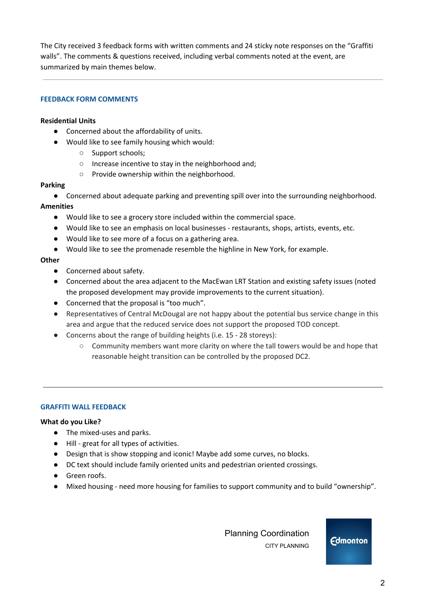The City received 3 feedback forms with written comments and 24 sticky note responses on the "Graffiti walls". The comments & questions received, including verbal comments noted at the event, are summarized by main themes below.

# **FEEDBACK FORM COMMENTS**

#### **Residential Units**

- Concerned about the affordability of units.
- Would like to see family housing which would:
	- Support schools;
	- Increase incentive to stay in the neighborhood and;
	- Provide ownership within the neighborhood.

#### **Parking**

● Concerned about adequate parking and preventing spill over into the surrounding neighborhood. **Amenities**

- Would like to see a grocery store included within the commercial space.
- Would like to see an emphasis on local businesses restaurants, shops, artists, events, etc.
- Would like to see more of a focus on a gathering area.
- Would like to see the promenade resemble the highline in New York, for example.

### **Other**

- Concerned about safety.
- Concerned about the area adjacent to the MacEwan LRT Station and existing safety issues (noted the proposed development may provide improvements to the current situation).
- Concerned that the proposal is "too much".
- Representatives of Central McDougal are not happy about the potential bus service change in this area and argue that the reduced service does not support the proposed TOD concept.
- Concerns about the range of building heights (i.e. 15 28 storeys):
	- Community members want more clarity on where the tall towers would be and hope that reasonable height transition can be controlled by the proposed DC2.

#### **GRAFFITI WALL FEEDBACK**

#### **What do you Like?**

- The mixed-uses and parks.
- Hill great for all types of activities.
- Design that is show stopping and iconic! Maybe add some curves, no blocks.
- DC text should include family oriented units and pedestrian oriented crossings.
- Green roofs.
- Mixed housing need more housing for families to support community and to build "ownership".

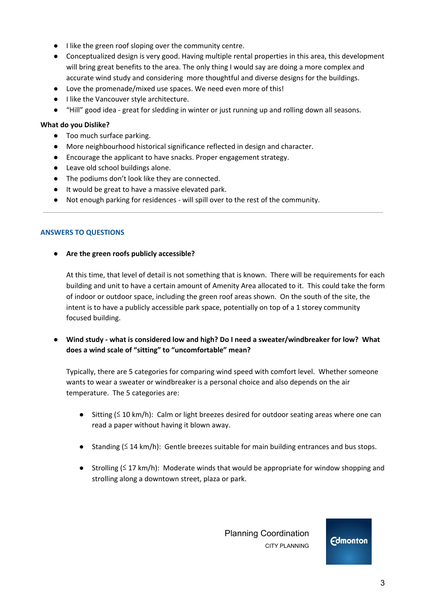- I like the green roof sloping over the community centre.
- Conceptualized design is very good. Having multiple rental properties in this area, this development will bring great benefits to the area. The only thing I would say are doing a more complex and accurate wind study and considering more thoughtful and diverse designs for the buildings.
- Love the promenade/mixed use spaces. We need even more of this!
- I like the Vancouver style architecture.
- "Hill" good idea great for sledding in winter or just running up and rolling down all seasons.

# **What do you Dislike?**

- Too much surface parking.
- More neighbourhood historical significance reflected in design and character.
- Encourage the applicant to have snacks. Proper engagement strategy.
- Leave old school buildings alone.
- The podiums don't look like they are connected.
- It would be great to have a massive elevated park.
- Not enough parking for residences will spill over to the rest of the community.

# **ANSWERS TO QUESTIONS**

# **● Are the green roofs publicly accessible?**

At this time, that level of detail is not something that is known. There will be requirements for each building and unit to have a certain amount of Amenity Area allocated to it. This could take the form of indoor or outdoor space, including the green roof areas shown. On the south of the site, the intent is to have a publicly accessible park space, potentially on top of a 1 storey community focused building.

**● Wind study - what is considered low and high? Do I need a sweater/windbreaker for low? What does a wind scale of "sitting" to "uncomfortable" mean?**

Typically, there are 5 categories for comparing wind speed with comfort level. Whether someone wants to wear a sweater or windbreaker is a personal choice and also depends on the air temperature. The 5 categories are:

- Sitting (≤ 10 km/h): Calm or light breezes desired for outdoor seating areas where one can read a paper without having it blown away.
- Standing (≤ 14 km/h): Gentle breezes suitable for main building entrances and bus stops.
- Strolling  $(≤ 17 km/h)$ : Moderate winds that would be appropriate for window shopping and strolling along a downtown street, plaza or park.